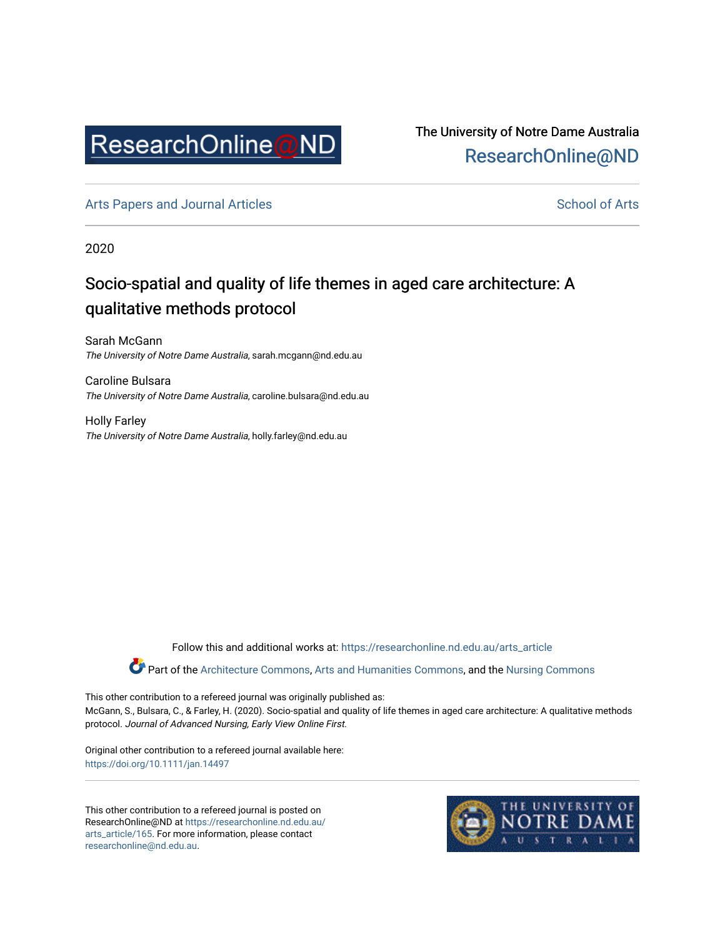

The University of Notre Dame Australia [ResearchOnline@ND](https://researchonline.nd.edu.au/) 

[Arts Papers and Journal Articles](https://researchonline.nd.edu.au/arts_article) and [School of Arts](https://researchonline.nd.edu.au/arts) School of Arts

2020

# Socio-spatial and quality of life themes in aged care architecture: A qualitative methods protocol

Sarah McGann The University of Notre Dame Australia, sarah.mcgann@nd.edu.au

Caroline Bulsara The University of Notre Dame Australia, caroline.bulsara@nd.edu.au

Holly Farley The University of Notre Dame Australia, holly.farley@nd.edu.au

Follow this and additional works at: [https://researchonline.nd.edu.au/arts\\_article](https://researchonline.nd.edu.au/arts_article?utm_source=researchonline.nd.edu.au%2Farts_article%2F165&utm_medium=PDF&utm_campaign=PDFCoverPages) 

Part of the [Architecture Commons,](http://network.bepress.com/hgg/discipline/773?utm_source=researchonline.nd.edu.au%2Farts_article%2F165&utm_medium=PDF&utm_campaign=PDFCoverPages) [Arts and Humanities Commons,](http://network.bepress.com/hgg/discipline/438?utm_source=researchonline.nd.edu.au%2Farts_article%2F165&utm_medium=PDF&utm_campaign=PDFCoverPages) and the [Nursing Commons](http://network.bepress.com/hgg/discipline/718?utm_source=researchonline.nd.edu.au%2Farts_article%2F165&utm_medium=PDF&utm_campaign=PDFCoverPages) 

This other contribution to a refereed journal was originally published as: McGann, S., Bulsara, C., & Farley, H. (2020). Socio-spatial and quality of life themes in aged care architecture: A qualitative methods protocol. Journal of Advanced Nursing, Early View Online First.

Original other contribution to a refereed journal available here: <https://doi.org/10.1111/jan.14497>

This other contribution to a refereed journal is posted on ResearchOnline@ND at [https://researchonline.nd.edu.au/](https://researchonline.nd.edu.au/arts_article/165) [arts\\_article/165.](https://researchonline.nd.edu.au/arts_article/165) For more information, please contact [researchonline@nd.edu.au.](mailto:researchonline@nd.edu.au)

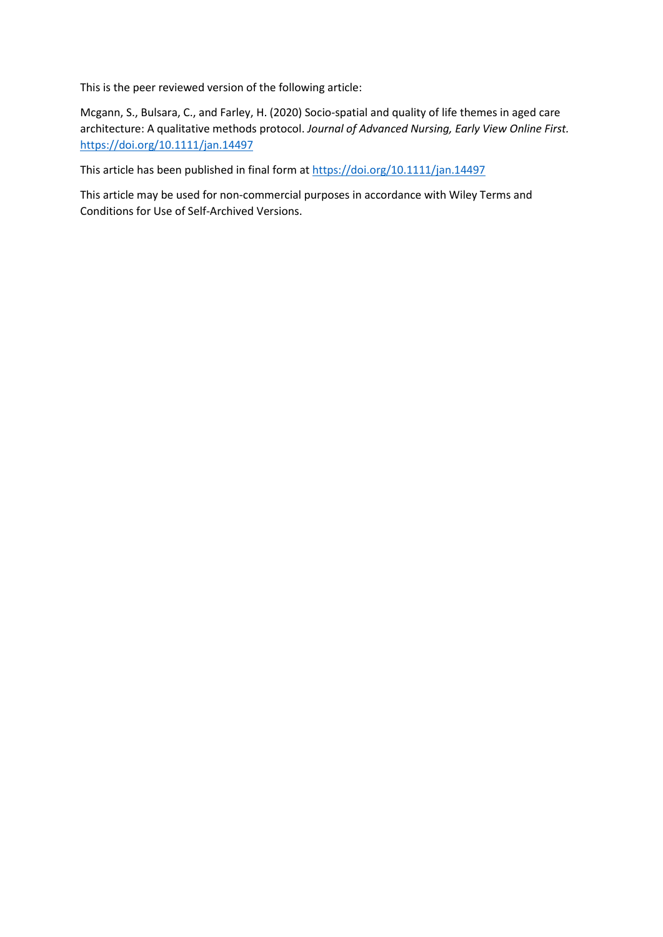This is the peer reviewed version of the following article:

Mcgann, S., Bulsara, C., and Farley, H. (2020) Socio-spatial and quality of life themes in aged care architecture: A qualitative methods protocol. *Journal of Advanced Nursing, Early View Online First.*  [https://doi.org/1](https://doi.org/)0.1111/jan.14497

This article has been published in final form at [https://doi.org/1](https://doi.org/10.1111/1440-1630.12699)0.1111/jan.14497

This article may be used for non-commercial purposes in accordance with Wiley Terms and Conditions for Use of Self-Archived Versions.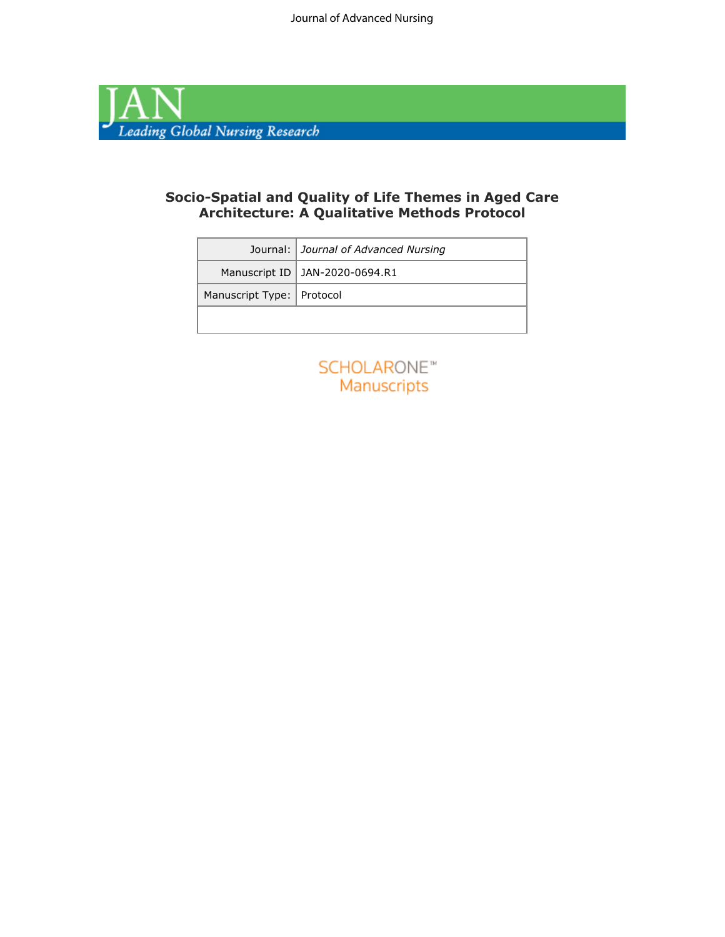

### **Socio-Spatial and Quality of Life Themes in Aged Care Architecture: A Qualitative Methods Protocol**

|                             | Journal: Journal of Advanced Nursing |
|-----------------------------|--------------------------------------|
|                             | Manuscript ID   JAN-2020-0694.R1     |
| Manuscript Type:   Protocol |                                      |
|                             |                                      |

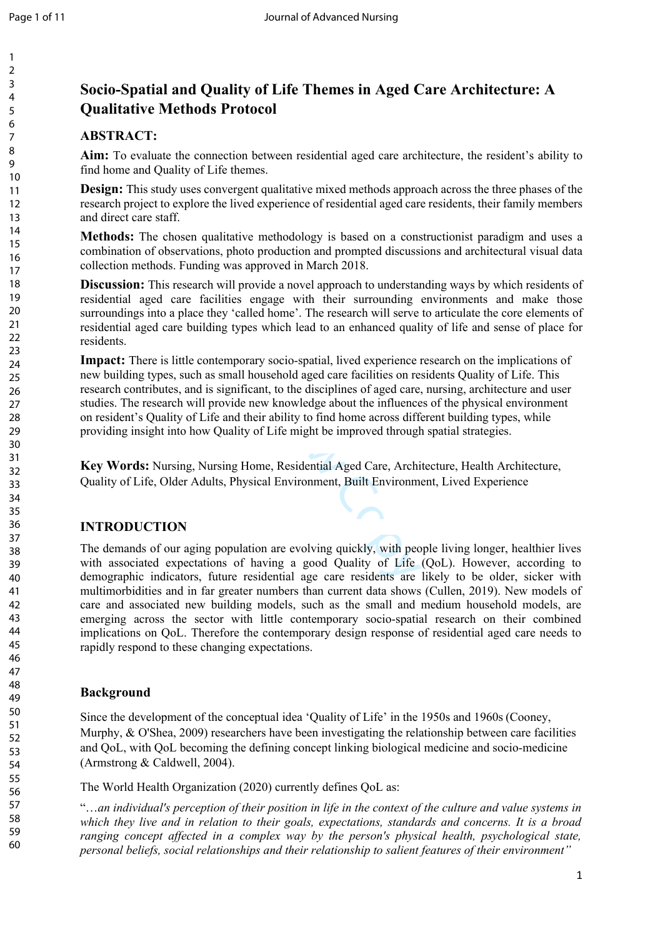# **Socio-Spatial and Quality of Life Themes in Aged Care Architecture: A Qualitative Methods Protocol**

### **ABSTRACT:**

**Aim:** To evaluate the connection between residential aged care architecture, the resident's ability to find home and Quality of Life themes.

**Design:** This study uses convergent qualitative mixed methods approach across the three phases of the research project to explore the lived experience of residential aged care residents, their family members and direct care staff.

**Methods:** The chosen qualitative methodology is based on a constructionist paradigm and uses a combination of observations, photo production and prompted discussions and architectural visual data collection methods. Funding was approved in March 2018.

**Discussion:** This research will provide a novel approach to understanding ways by which residents of residential aged care facilities engage with their surrounding environments and make those surroundings into a place they 'called home'. The research will serve to articulate the core elements of residential aged care building types which lead to an enhanced quality of life and sense of place for residents.

porary socio-spatial, lived experience in<br>
Sull household aged care facilities on re<br>
inficant, to the disciplines of aged care<br>
de new knowledge about the influence<br>
d their ability to find home across diff<br>
lity of Life **Impact:** There is little contemporary socio-spatial, lived experience research on the implications of new building types, such as small household aged care facilities on residents Quality of Life. This research contributes, and is significant, to the disciplines of aged care, nursing, architecture and user studies. The research will provide new knowledge about the influences of the physical environment on resident's Quality of Life and their ability to find home across different building types, while providing insight into how Quality of Life might be improved through spatial strategies.

**Key Words:** Nursing, Nursing Home, Residential Aged Care, Architecture, Health Architecture, Quality of Life, Older Adults, Physical Environment, Built Environment, Lived Experience

### **INTRODUCTION**

The demands of our aging population are evolving quickly, with people living longer, healthier lives with associated expectations of having a good Quality of Life (QoL). However, according to demographic indicators, future residential age care residents are likely to be older, sicker with multimorbidities and in far greater numbers than current data shows (Cullen, 2019). New models of care and associated new building models, such as the small and medium household models, are emerging across the sector with little contemporary socio-spatial research on their combined implications on QoL. Therefore the contemporary design response of residential aged care needs to rapidly respond to these changing expectations.

### **Background**

Since the development of the conceptual idea 'Quality of Life' in the 1950s and 1960s (Cooney, Murphy, & O'Shea, 2009) researchers have been investigating the relationship between care facilities and QoL, with QoL becoming the defining concept linking biological medicine and socio-medicine (Armstrong & Caldwell, 2004).

The World Health Organization (2020) currently defines QoL as:

"…*an individual's perception of their position in life in the context of the culture and value systems in which they live and in relation to their goals, expectations, standards and concerns. It is a broad ranging concept affected in a complex way by the person's physical health, psychological state, personal beliefs, social relationships and their relationship to salient features of their environment"*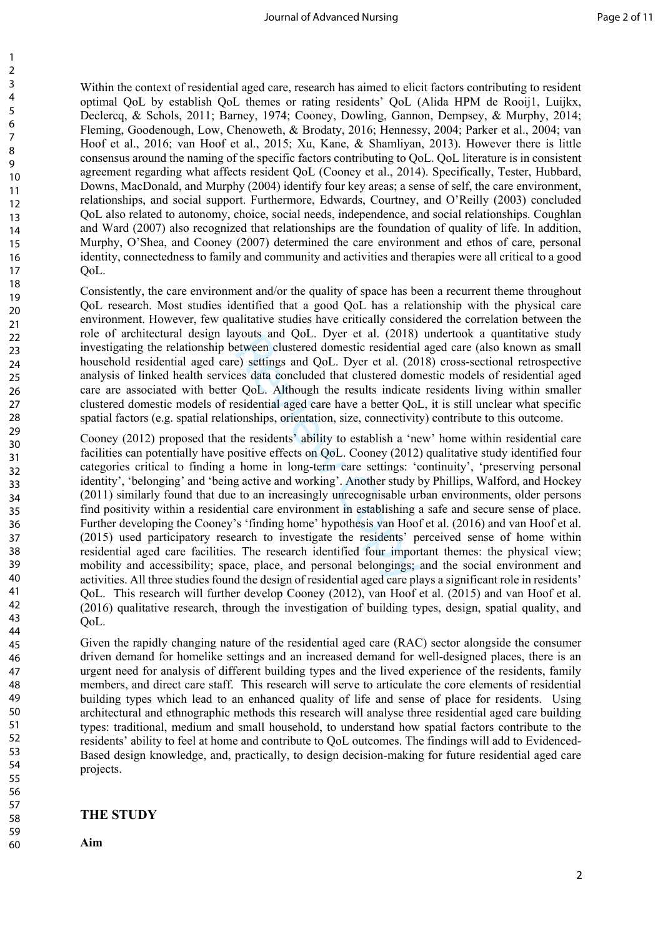Within the context of residential aged care, research has aimed to elicit factors contributing to resident optimal QoL by establish QoL themes or rating residents' QoL (Alida HPM de Rooij1, Luijkx, Declercq, & Schols, 2011; Barney, 1974; Cooney, Dowling, Gannon, Dempsey, & Murphy, 2014; Fleming, Goodenough, Low, Chenoweth, & Brodaty, 2016; Hennessy, 2004; Parker et al., 2004; van Hoof et al., 2016; van Hoof et al., 2015; Xu, Kane, & Shamliyan, 2013). However there is little consensus around the naming of the specific factors contributing to QoL. QoL literature is in consistent agreement regarding what affects resident QoL (Cooney et al., 2014). Specifically, Tester, Hubbard, Downs, MacDonald, and Murphy (2004) identify four key areas; a sense of self, the care environment, relationships, and social support. Furthermore, Edwards, Courtney, and O'Reilly (2003) concluded QoL also related to autonomy, choice, social needs, independence, and social relationships. Coughlan and Ward (2007) also recognized that relationships are the foundation of quality of life. In addition, Murphy, O'Shea, and Cooney (2007) determined the care environment and ethos of care, personal identity, connectedness to family and community and activities and therapies were all critical to a good QoL.

Consistently, the care environment and/or the quality of space has been a recurrent theme throughout QoL research. Most studies identified that a good QoL has a relationship with the physical care environment. However, few qualitative studies have critically considered the correlation between the role of architectural design layouts and QoL. Dyer et al. (2018) undertook a quantitative study investigating the relationship between clustered domestic residential aged care (also known as small household residential aged care) settings and QoL. Dyer et al. (2018) cross-sectional retrospective analysis of linked health services data concluded that clustered domestic models of residential aged care are associated with better QoL. Although the results indicate residents living within smaller clustered domestic models of residential aged care have a better QoL, it is still unclear what specific spatial factors (e.g. spatial relationships, orientation, size, connectivity) contribute to this outcome.

youts and QoL. Dyet et al. (2016)<br>etween clustered domestic residential<br>e) settings and QoL. Dyer et al. (20<br>es data concluded that clustered dom<br>c QoL. Although the results indicate<br>esidential aged care have a better QoI<br> Cooney (2012) proposed that the residents' ability to establish a 'new' home within residential care facilities can potentially have positive effects on QoL. Cooney (2012) qualitative study identified four categories critical to finding a home in long-term care settings: 'continuity', 'preserving personal identity', 'belonging' and 'being active and working'. Another study by Phillips, Walford, and Hockey (2011) similarly found that due to an increasingly unrecognisable urban environments, older persons find positivity within a residential care environment in establishing a safe and secure sense of place. Further developing the Cooney's 'finding home' hypothesis van Hoof et al. (2016) and van Hoof et al. (2015) used participatory research to investigate the residents' perceived sense of home within residential aged care facilities. The research identified four important themes: the physical view; mobility and accessibility; space, place, and personal belongings; and the social environment and activities. All three studies found the design of residential aged care plays a significant role in residents' QoL. This research will further develop Cooney (2012), van Hoof et al. (2015) and van Hoof et al. (2016) qualitative research, through the investigation of building types, design, spatial quality, and QoL.

Given the rapidly changing nature of the residential aged care (RAC) sector alongside the consumer driven demand for homelike settings and an increased demand for well-designed places, there is an urgent need for analysis of different building types and the lived experience of the residents, family members, and direct care staff. This research will serve to articulate the core elements of residential building types which lead to an enhanced quality of life and sense of place for residents. Using architectural and ethnographic methods this research will analyse three residential aged care building types: traditional, medium and small household, to understand how spatial factors contribute to the residents' ability to feel at home and contribute to QoL outcomes. The findings will add to Evidenced-Based design knowledge, and, practically, to design decision-making for future residential aged care projects.

#### **THE STUDY**

**Aim**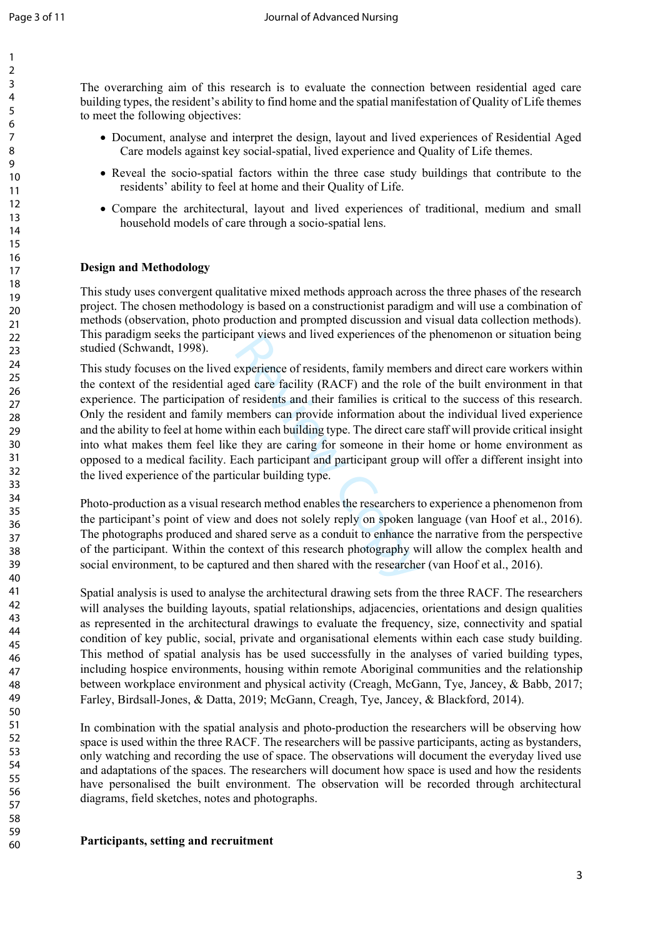The overarching aim of this research is to evaluate the connection between residential aged care building types, the resident's ability to find home and the spatial manifestation of Quality of Life themes to meet the following objectives:

- Document, analyse and interpret the design, layout and lived experiences of Residential Aged Care models against key social-spatial, lived experience and Quality of Life themes.
- Reveal the socio-spatial factors within the three case study buildings that contribute to the residents' ability to feel at home and their Quality of Life.
- Compare the architectural, layout and lived experiences of traditional, medium and small household models of care through a socio-spatial lens.

### **Design and Methodology**

This study uses convergent qualitative mixed methods approach across the three phases of the research project. The chosen methodology is based on a constructionist paradigm and will use a combination of methods (observation, photo production and prompted discussion and visual data collection methods). This paradigm seeks the participant views and lived experiences of the phenomenon or situation being studied (Schwandt, 1998).

pant views and nveu experiences of the<br>experience of residents, family membe<br>ged care facility (RACF) and the role<br>f residents and their families is critica<br>eembers can provide information about<br>thin each building type. Th This study focuses on the lived experience of residents, family members and direct care workers within the context of the residential aged care facility (RACF) and the role of the built environment in that experience. The participation of residents and their families is critical to the success of this research. Only the resident and family members can provide information about the individual lived experience and the ability to feel at home within each building type. The direct care staff will provide critical insight into what makes them feel like they are caring for someone in their home or home environment as opposed to a medical facility. Each participant and participant group will offer a different insight into the lived experience of the particular building type.

Photo-production as a visual research method enables the researchers to experience a phenomenon from the participant's point of view and does not solely reply on spoken language (van Hoof et al., 2016). The photographs produced and shared serve as a conduit to enhance the narrative from the perspective of the participant. Within the context of this research photography will allow the complex health and social environment, to be captured and then shared with the researcher (van Hoof et al., 2016).

Spatial analysis is used to analyse the architectural drawing sets from the three RACF. The researchers will analyses the building layouts, spatial relationships, adjacencies, orientations and design qualities as represented in the architectural drawings to evaluate the frequency, size, connectivity and spatial condition of key public, social, private and organisational elements within each case study building. This method of spatial analysis has be used successfully in the analyses of varied building types, including hospice environments, housing within remote Aboriginal communities and the relationship between workplace environment and physical activity (Creagh, McGann, Tye, Jancey, & Babb, 2017; Farley, Birdsall-Jones, & Datta, 2019; McGann, Creagh, Tye, Jancey, & Blackford, 2014).

In combination with the spatial analysis and photo-production the researchers will be observing how space is used within the three RACF. The researchers will be passive participants, acting as bystanders, only watching and recording the use of space. The observations will document the everyday lived use and adaptations of the spaces. The researchers will document how space is used and how the residents have personalised the built environment. The observation will be recorded through architectural diagrams, field sketches, notes and photographs.

#### **Participants, setting and recruitment**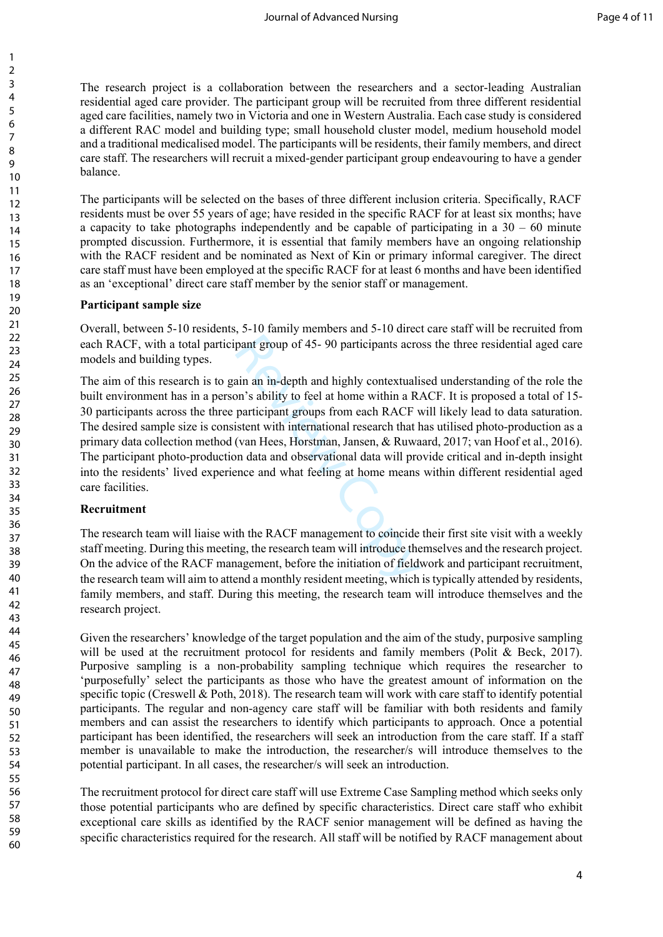The research project is a collaboration between the researchers and a sector-leading Australian residential aged care provider. The participant group will be recruited from three different residential aged care facilities, namely two in Victoria and one in Western Australia. Each case study is considered a different RAC model and building type; small household cluster model, medium household model and a traditional medicalised model. The participants will be residents, their family members, and direct care staff. The researchers will recruit a mixed-gender participant group endeavouring to have a gender balance.

The participants will be selected on the bases of three different inclusion criteria. Specifically, RACF residents must be over 55 years of age; have resided in the specific RACF for at least six months; have a capacity to take photographs independently and be capable of participating in a  $30 - 60$  minute prompted discussion. Furthermore, it is essential that family members have an ongoing relationship with the RACF resident and be nominated as Next of Kin or primary informal caregiver. The direct care staff must have been employed at the specific RACF for at least 6 months and have been identified as an 'exceptional' direct care staff member by the senior staff or management.

#### **Participant sample size**

Overall, between 5-10 residents, 5-10 family members and 5-10 direct care staff will be recruited from each RACF, with a total participant group of 45- 90 participants across the three residential aged care models and building types.

pant group of 45- 90 participants acro<br>ain an in-depth and highly contextuali<br>on's ability to feel at home within a R.<br>participant groups from each RACF v<br>istent with international research that l<br>(van Hees, Horstman, Jans The aim of this research is to gain an in-depth and highly contextualised understanding of the role the built environment has in a person's ability to feel at home within a RACF. It is proposed a total of 15- 30 participants across the three participant groups from each RACF will likely lead to data saturation. The desired sample size is consistent with international research that has utilised photo-production as a primary data collection method (van Hees, Horstman, Jansen, & Ruwaard, 2017; van Hoof et al., 2016). The participant photo-production data and observational data will provide critical and in-depth insight into the residents' lived experience and what feeling at home means within different residential aged care facilities.

### **Recruitment**

The research team will liaise with the RACF management to coincide their first site visit with a weekly staff meeting. During this meeting, the research team will introduce themselves and the research project. On the advice of the RACF management, before the initiation of fieldwork and participant recruitment, the research team will aim to attend a monthly resident meeting, which is typically attended by residents, family members, and staff. During this meeting, the research team will introduce themselves and the research project.

Given the researchers' knowledge of the target population and the aim of the study, purposive sampling will be used at the recruitment protocol for residents and family members (Polit  $\&$  Beck, 2017). Purposive sampling is a non-probability sampling technique which requires the researcher to 'purposefully' select the participants as those who have the greatest amount of information on the specific topic (Creswell & Poth, 2018). The research team will work with care staff to identify potential participants. The regular and non-agency care staff will be familiar with both residents and family members and can assist the researchers to identify which participants to approach. Once a potential participant has been identified, the researchers will seek an introduction from the care staff. If a staff member is unavailable to make the introduction, the researcher/s will introduce themselves to the potential participant. In all cases, the researcher/s will seek an introduction.

The recruitment protocol for direct care staff will use Extreme Case Sampling method which seeks only those potential participants who are defined by specific characteristics. Direct care staff who exhibit exceptional care skills as identified by the RACF senior management will be defined as having the specific characteristics required for the research. All staff will be notified by RACF management about

60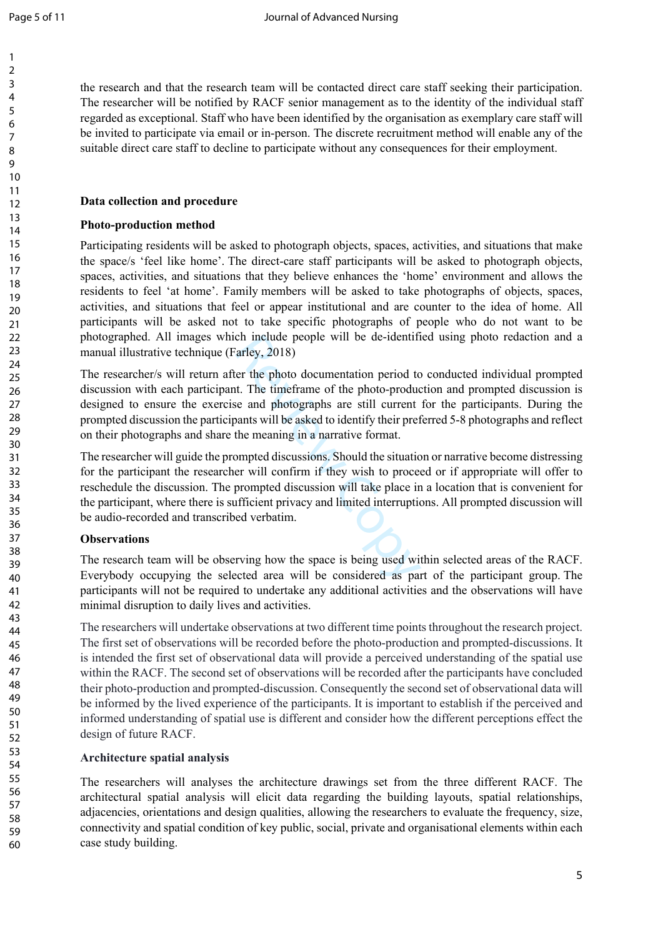the research and that the research team will be contacted direct care staff seeking their participation. The researcher will be notified by RACF senior management as to the identity of the individual staff regarded as exceptional. Staff who have been identified by the organisation as exemplary care staff will be invited to participate via email or in-person. The discrete recruitment method will enable any of the suitable direct care staff to decline to participate without any consequences for their employment.

# **Data collection and procedure**

# **Photo-production method**

Participating residents will be asked to photograph objects, spaces, activities, and situations that make the space/s 'feel like home'. The direct-care staff participants will be asked to photograph objects, spaces, activities, and situations that they believe enhances the 'home' environment and allows the residents to feel 'at home'. Family members will be asked to take photographs of objects, spaces, activities, and situations that feel or appear institutional and are counter to the idea of home. All participants will be asked not to take specific photographs of people who do not want to be photographed. All images which include people will be de-identified using photo redaction and a manual illustrative technique (Farley, 2018)

ch include people will be de-identificarley, 2018)<br>
er the photo documentation period to<br>
tt. The timeframe of the photo-production<br>
see and photographs are still current<br>
bants will be asked to identify their pref<br>
the me The researcher/s will return after the photo documentation period to conducted individual prompted discussion with each participant. The timeframe of the photo-production and prompted discussion is designed to ensure the exercise and photographs are still current for the participants. During the prompted discussion the participants will be asked to identify their preferred 5-8 photographs and reflect on their photographs and share the meaning in a narrative format.

The researcher will guide the prompted discussions. Should the situation or narrative become distressing for the participant the researcher will confirm if they wish to proceed or if appropriate will offer to reschedule the discussion. The prompted discussion will take place in a location that is convenient for the participant, where there is sufficient privacy and limited interruptions. All prompted discussion will be audio-recorded and transcribed verbatim.

# **Observations**

The research team will be observing how the space is being used within selected areas of the RACF. Everybody occupying the selected area will be considered as part of the participant group. The participants will not be required to undertake any additional activities and the observations will have minimal disruption to daily lives and activities.

The researchers will undertake observations at two different time points throughout the research project. The first set of observations will be recorded before the photo-production and prompted-discussions. It is intended the first set of observational data will provide a perceived understanding of the spatial use within the RACF. The second set of observations will be recorded after the participants have concluded their photo-production and prompted-discussion. Consequently the second set of observational data will be informed by the lived experience of the participants. It is important to establish if the perceived and informed understanding of spatial use is different and consider how the different perceptions effect the design of future RACF.

# **Architecture spatial analysis**

The researchers will analyses the architecture drawings set from the three different RACF. The architectural spatial analysis will elicit data regarding the building layouts, spatial relationships, adjacencies, orientations and design qualities, allowing the researchers to evaluate the frequency, size, connectivity and spatial condition of key public, social, private and organisational elements within each case study building.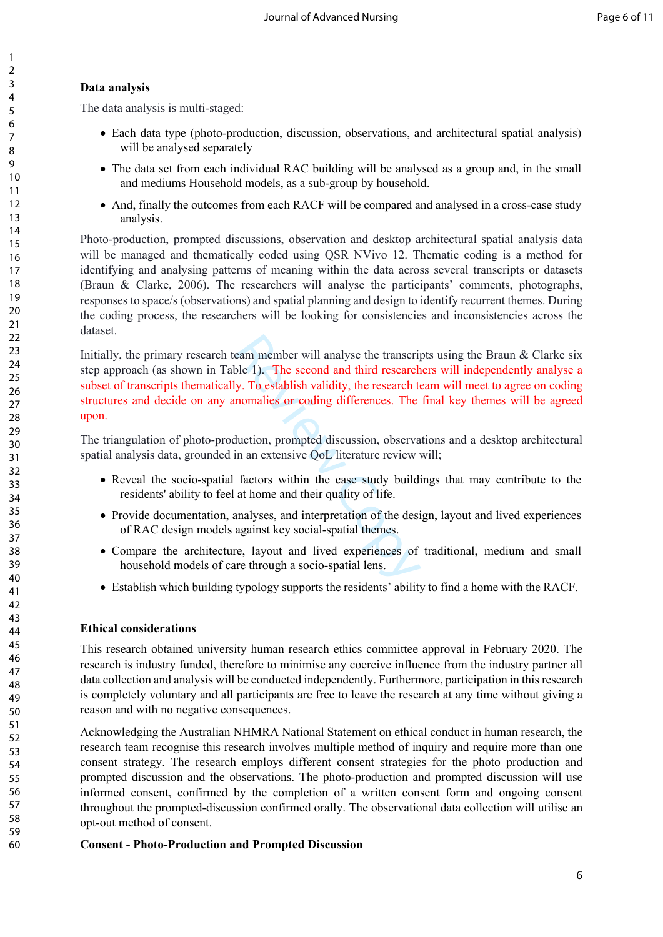# **Data analysis**

The data analysis is multi-staged:

- Each data type (photo-production, discussion, observations, and architectural spatial analysis) will be analysed separately
- The data set from each individual RAC building will be analysed as a group and, in the small and mediums Household models, as a sub-group by household.
- And, finally the outcomes from each RACF will be compared and analysed in a cross-case study analysis.

Photo-production, prompted discussions, observation and desktop architectural spatial analysis data will be managed and thematically coded using QSR NVivo 12. Thematic coding is a method for identifying and analysing patterns of meaning within the data across several transcripts or datasets (Braun & Clarke, 2006). The researchers will analyse the participants' comments, photographs, responses to space/s (observations) and spatial planning and design to identify recurrent themes. During the coding process, the researchers will be looking for consistencies and inconsistencies across the dataset.

eam member will analyse the transcription<br>ble 1). The second and third research ty. To establish validity, the research to<br>nomalies or coding differences. The<br>duction, prompted discussion, observa<br>in an extensive QoL liter Initially, the primary research team member will analyse the transcripts using the Braun  $\&$  Clarke six step approach (as shown in Table 1). The second and third researchers will independently analyse a subset of transcripts thematically. To establish validity, the research team will meet to agree on coding structures and decide on any anomalies or coding differences. The final key themes will be agreed upon.

The triangulation of photo-production, prompted discussion, observations and a desktop architectural spatial analysis data, grounded in an extensive QoL literature review will;

- Reveal the socio-spatial factors within the case study buildings that may contribute to the residents' ability to feel at home and their quality of life.
- Provide documentation, analyses, and interpretation of the design, layout and lived experiences of RAC design models against key social-spatial themes.
- Compare the architecture, layout and lived experiences of traditional, medium and small household models of care through a socio-spatial lens.
- Establish which building typology supports the residents' ability to find a home with the RACF.

## **Ethical considerations**

This research obtained university human research ethics committee approval in February 2020. The research is industry funded, therefore to minimise any coercive influence from the industry partner all data collection and analysis will be conducted independently. Furthermore, participation in this research is completely voluntary and all participants are free to leave the research at any time without giving a reason and with no negative consequences.

Acknowledging the Australian NHMRA National Statement on ethical conduct in human research, the research team recognise this research involves multiple method of inquiry and require more than one consent strategy. The research employs different consent strategies for the photo production and prompted discussion and the observations. The photo-production and prompted discussion will use informed consent, confirmed by the completion of a written consent form and ongoing consent throughout the prompted-discussion confirmed orally. The observational data collection will utilise an opt-out method of consent.

## **Consent - Photo-Production and Prompted Discussion**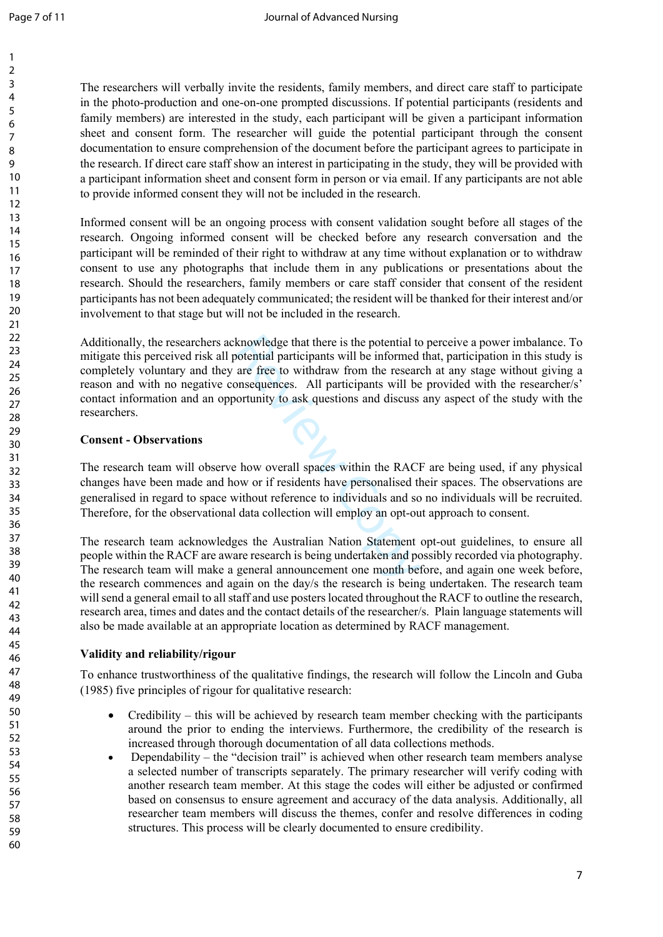The researchers will verbally invite the residents, family members, and direct care staff to participate in the photo-production and one-on-one prompted discussions. If potential participants (residents and family members) are interested in the study, each participant will be given a participant information sheet and consent form. The researcher will guide the potential participant through the consent documentation to ensure comprehension of the document before the participant agrees to participate in the research. If direct care staff show an interest in participating in the study, they will be provided with a participant information sheet and consent form in person or via email. If any participants are not able to provide informed consent they will not be included in the research.

Informed consent will be an ongoing process with consent validation sought before all stages of the research. Ongoing informed consent will be checked before any research conversation and the participant will be reminded of their right to withdraw at any time without explanation or to withdraw consent to use any photographs that include them in any publications or presentations about the research. Should the researchers, family members or care staff consider that consent of the resident participants has not been adequately communicated; the resident will be thanked for their interest and/or involvement to that stage but will not be included in the research.

knowledge that there is the potential to<br>botential participants will be informed<br>are free to withdraw from the researc<br>onsequences. All participants will be<br>ortunity to ask questions and discuss<br>bortunity to ask questions Additionally, the researchers acknowledge that there is the potential to perceive a power imbalance. To mitigate this perceived risk all potential participants will be informed that, participation in this study is completely voluntary and they are free to withdraw from the research at any stage without giving a reason and with no negative consequences. All participants will be provided with the researcher/s' contact information and an opportunity to ask questions and discuss any aspect of the study with the researchers.

#### **Consent - Observations**

The research team will observe how overall spaces within the RACF are being used, if any physical changes have been made and how or if residents have personalised their spaces. The observations are generalised in regard to space without reference to individuals and so no individuals will be recruited. Therefore, for the observational data collection will employ an opt-out approach to consent.

The research team acknowledges the Australian Nation Statement opt-out guidelines, to ensure all people within the RACF are aware research is being undertaken and possibly recorded via photography. The research team will make a general announcement one month before, and again one week before, the research commences and again on the day/s the research is being undertaken. The research team will send a general email to all staff and use posters located throughout the RACF to outline the research, research area, times and dates and the contact details of the researcher/s. Plain language statements will also be made available at an appropriate location as determined by RACF management.

### **Validity and reliability/rigour**

To enhance trustworthiness of the qualitative findings, the research will follow the Lincoln and Guba (1985) five principles of rigour for qualitative research:

- Credibility this will be achieved by research team member checking with the participants around the prior to ending the interviews. Furthermore, the credibility of the research is increased through thorough documentation of all data collections methods.
- Dependability the "decision trail" is achieved when other research team members analyse a selected number of transcripts separately. The primary researcher will verify coding with another research team member. At this stage the codes will either be adjusted or confirmed based on consensus to ensure agreement and accuracy of the data analysis. Additionally, all researcher team members will discuss the themes, confer and resolve differences in coding structures. This process will be clearly documented to ensure credibility.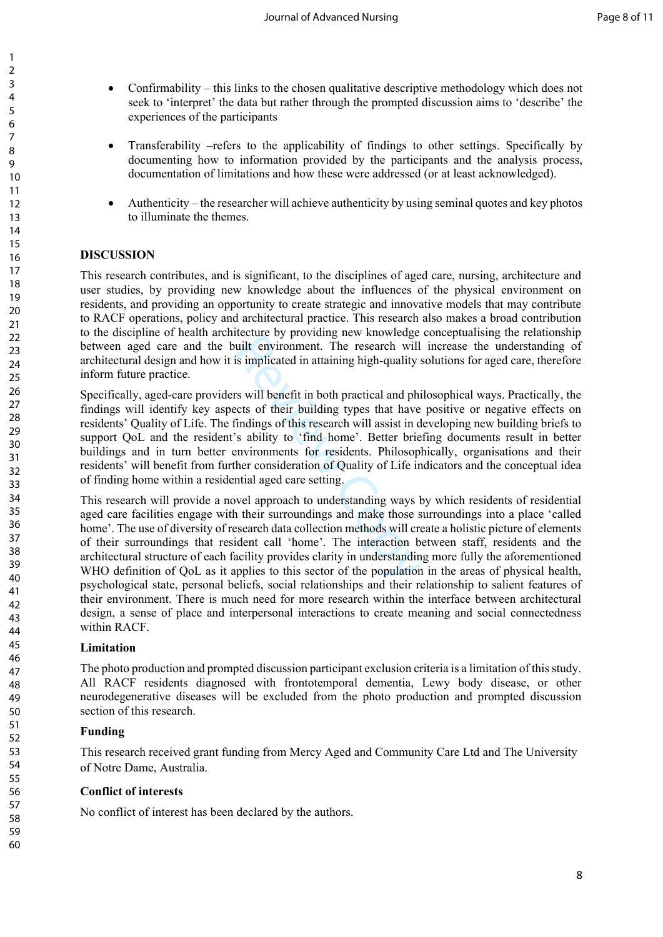- Confirmability this links to the chosen qualitative descriptive methodology which does not seek to 'interpret' the data but rather through the prompted discussion aims to 'describe' the experiences of the participants
- Transferability –refers to the applicability of findings to other settings. Specifically by documenting how to information provided by the participants and the analysis process, documentation of limitations and how these were addressed (or at least acknowledged).
- Authenticity the researcher will achieve authenticity by using seminal quotes and key photos to illuminate the themes.

### **DISCUSSION**

This research contributes, and is significant, to the disciplines of aged care, nursing, architecture and user studies, by providing new knowledge about the influences of the physical environment on residents, and providing an opportunity to create strategic and innovative models that may contribute to RACF operations, policy and architectural practice. This research also makes a broad contribution to the discipline of health architecture by providing new knowledge conceptualising the relationship between aged care and the built environment. The research will increase the understanding of architectural design and how it is implicated in attaining high-quality solutions for aged care, therefore inform future practice.

Review of providing hew knowledge<br>
uilt environment. The research will<br>
is implicated in attaining high-quality<br>
rs will benefit in both practical and phi<br>
rs will benefit in both practical and phi<br>
rs will benefit in both Specifically, aged-care providers will benefit in both practical and philosophical ways. Practically, the findings will identify key aspects of their building types that have positive or negative effects on residents' Quality of Life. The findings of this research will assist in developing new building briefs to support QoL and the resident's ability to 'find home'. Better briefing documents result in better buildings and in turn better environments for residents. Philosophically, organisations and their residents' will benefit from further consideration of Quality of Life indicators and the conceptual idea of finding home within a residential aged care setting.

This research will provide a novel approach to understanding ways by which residents of residential aged care facilities engage with their surroundings and make those surroundings into a place 'called home'. The use of diversity of research data collection methods will create a holistic picture of elements of their surroundings that resident call 'home'. The interaction between staff, residents and the architectural structure of each facility provides clarity in understanding more fully the aforementioned WHO definition of OoL as it applies to this sector of the population in the areas of physical health, psychological state, personal beliefs, social relationships and their relationship to salient features of their environment. There is much need for more research within the interface between architectural design, a sense of place and interpersonal interactions to create meaning and social connectedness within RACF.

### **Limitation**

The photo production and prompted discussion participant exclusion criteria is a limitation of this study. All RACF residents diagnosed with frontotemporal dementia, Lewy body disease, or other neurodegenerative diseases will be excluded from the photo production and prompted discussion section of this research.

### **Funding**

This research received grant funding from Mercy Aged and Community Care Ltd and The University of Notre Dame, Australia.

### **Conflict of interests**

No conflict of interest has been declared by the authors.

60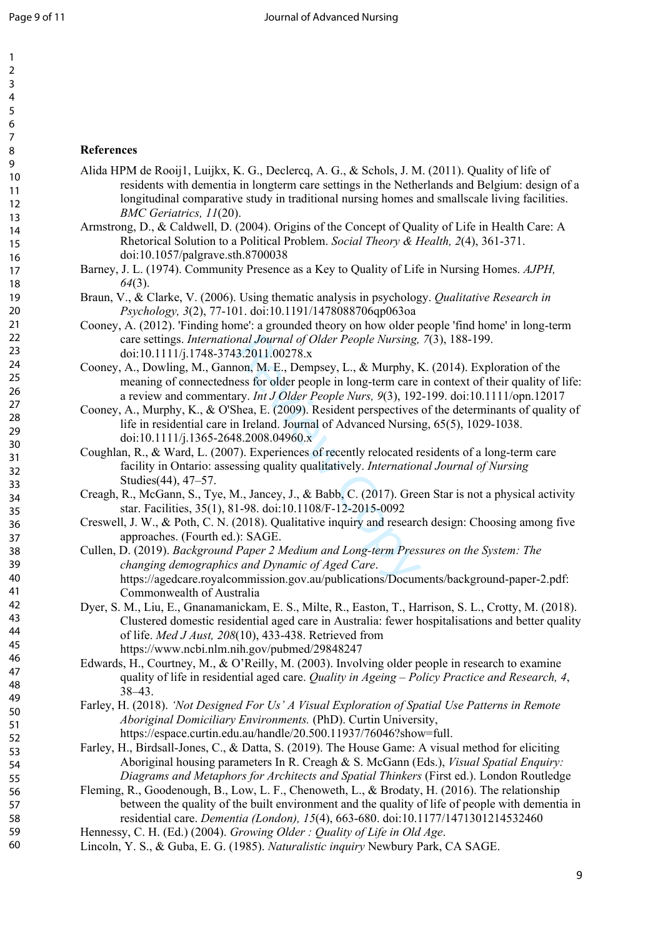60

### **References**

- Alida HPM de Rooij1, Luijkx, K. G., Declercq, A. G., & Schols, J. M. (2011). Quality of life of residents with dementia in longterm care settings in the Netherlands and Belgium: design of a longitudinal comparative study in traditional nursing homes and smallscale living facilities. *BMC Geriatrics, 11*(20).
- Armstrong, D., & Caldwell, D. (2004). Origins of the Concept of Quality of Life in Health Care: A Rhetorical Solution to a Political Problem. *Social Theory & Health, 2*(4), 361-371. doi:10.1057/palgrave.sth.8700038
- Barney, J. L. (1974). Community Presence as a Key to Quality of Life in Nursing Homes. *AJPH, 64*(3).
- Braun, V., & Clarke, V. (2006). Using thematic analysis in psychology. *Qualitative Research in Psychology, 3*(2), 77-101. doi:10.1191/1478088706qp063oa
- Cooney, A. (2012). 'Finding home': a grounded theory on how older people 'find home' in long-term care settings. *International Journal of Older People Nursing, 7*(3), 188-199. doi:10.1111/j.1748-3743.2011.00278.x
- Cooney, A., Dowling, M., Gannon, M. E., Dempsey, L., & Murphy, K. (2014). Exploration of the meaning of connectedness for older people in long-term care in context of their quality of life: a review and commentary. *Int J Older People Nurs, 9*(3), 192-199. doi:10.1111/opn.12017
- Cooney, A., Murphy, K., & O'Shea, E. (2009). Resident perspectives of the determinants of quality of life in residential care in Ireland. Journal of Advanced Nursing, 65(5), 1029-1038. doi:10.1111/j.1365-2648.2008.04960.x
- Coughlan, R., & Ward, L. (2007). Experiences of recently relocated residents of a long-term care facility in Ontario: assessing quality qualitatively. *International Journal of Nursing*  Studies(44), 47–57.
- Creagh, R., McGann, S., Tye, M., Jancey, J., & Babb, C. (2017). Green Star is not a physical activity star. Facilities, 35(1), 81-98. doi:10.1108/F-12-2015-0092
- Creswell, J. W., & Poth, C. N. (2018). Qualitative inquiry and research design: Choosing among five approaches. (Fourth ed.): SAGE.
- *nal Journal of Older People Nursing,*<br>3.2011.00278.x<br>non, M. E., Dempsey, L., & Murphy, F<br>ess for older people in long-term care<br>ury. *Int J Older People Nurs,* 9(3), 192<br>hea, E. (2009). Resident perspectives<br>n Ireland. J Cullen, D. (2019). *Background Paper 2 Medium and Long-term Pressures on the System: The changing demographics and Dynamic of Aged Care*. https://agedcare.royalcommission.gov.au/publications/Documents/background-paper-2.pdf: Commonwealth of Australia
- Dyer, S. M., Liu, E., Gnanamanickam, E. S., Milte, R., Easton, T., Harrison, S. L., Crotty, M. (2018). Clustered domestic residential aged care in Australia: fewer hospitalisations and better quality of life. *Med J Aust, 208*(10), 433-438. Retrieved from https://www.ncbi.nlm.nih.gov/pubmed/29848247
- Edwards, H., Courtney, M., & O'Reilly, M. (2003). Involving older people in research to examine quality of life in residential aged care. *Quality in Ageing – Policy Practice and Research, 4*, 38–43.
- Farley, H. (2018). *'Not Designed For Us' A Visual Exploration of Spatial Use Patterns in Remote Aboriginal Domiciliary Environments.* (PhD). Curtin University, https://espace.curtin.edu.au/handle/20.500.11937/76046?show=full.
- Farley, H., Birdsall-Jones, C., & Datta, S. (2019). The House Game: A visual method for eliciting Aboriginal housing parameters In R. Creagh & S. McGann (Eds.), *Visual Spatial Enquiry: Diagrams and Metaphors for Architects and Spatial Thinkers* (First ed.). London Routledge
- Fleming, R., Goodenough, B., Low, L. F., Chenoweth, L., & Brodaty, H. (2016). The relationship between the quality of the built environment and the quality of life of people with dementia in residential care. *Dementia (London), 15*(4), 663-680. doi:10.1177/1471301214532460
- Hennessy, C. H. (Ed.) (2004). *Growing Older : Quality of Life in Old Age*.
- Lincoln, Y. S., & Guba, E. G. (1985). *Naturalistic inquiry* Newbury Park, CA SAGE.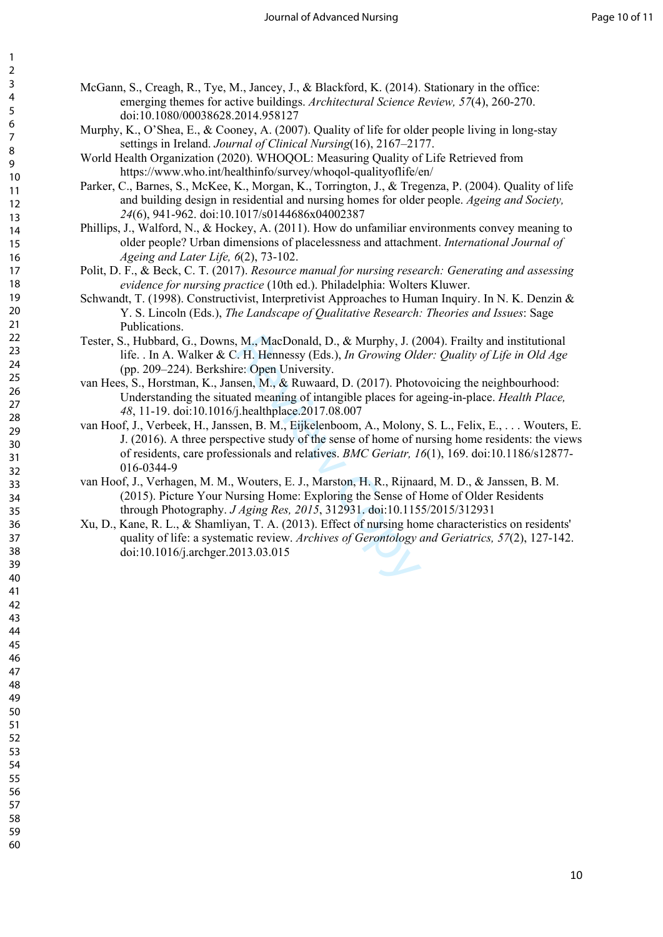- McGann, S., Creagh, R., Tye, M., Jancey, J., & Blackford, K. (2014). Stationary in the office: emerging themes for active buildings. *Architectural Science Review, 57*(4), 260-270. doi:10.1080/00038628.2014.958127
- Murphy, K., O'Shea, E., & Cooney, A. (2007). Quality of life for older people living in long-stay settings in Ireland. *Journal of Clinical Nursing*(16), 2167–2177.
- World Health Organization (2020). WHOQOL: Measuring Quality of Life Retrieved from https://www.who.int/healthinfo/survey/whoqol-qualityoflife/en/
- Parker, C., Barnes, S., McKee, K., Morgan, K., Torrington, J., & Tregenza, P. (2004). Quality of life and building design in residential and nursing homes for older people. *Ageing and Society,*  (6), 941-962. doi:10.1017/s0144686x04002387
- Phillips, J., Walford, N., & Hockey, A. (2011). How do unfamiliar environments convey meaning to older people? Urban dimensions of placelessness and attachment. *International Journal of Ageing and Later Life, 6*(2), 73-102.
- Polit, D. F., & Beck, C. T. (2017). *Resource manual for nursing research: Generating and assessing evidence for nursing practice* (10th ed.). Philadelphia: Wolters Kluwer.
- Schwandt, T. (1998). Constructivist, Interpretivist Approaches to Human Inquiry. In N. K. Denzin & Y. S. Lincoln (Eds.), *The Landscape of Qualitative Research: Theories and Issues*: Sage Publications.
- Tester, S., Hubbard, G., Downs, M., MacDonald, D., & Murphy, J. (2004). Frailty and institutional life. . In A. Walker & C. H. Hennessy (Eds.), *In Growing Older: Quality of Life in Old Age*  (pp. 209–224). Berkshire: Open University.
- van Hees, S., Horstman, K., Jansen, M., & Ruwaard, D. (2017). Photovoicing the neighbourhood: Understanding the situated meaning of intangible places for ageing-in-place. *Health Place,*  , 11-19. doi:10.1016/j.healthplace.2017.08.007
- , M., MacDonald, D., & Murphy, J. (2<br>
2. H. Hennessy (Eds.), *In Growing Ola*<br>
re: Open University.<br>
seen, M., & Ruwaard, D. (2017). Photor<br>
tted meaning of intangible places for a<br>
'j.healthplace.2017.08.007<br>
sen, B. M., van Hoof, J., Verbeek, H., Janssen, B. M., Eijkelenboom, A., Molony, S. L., Felix, E., . . . Wouters, E. J. (2016). A three perspective study of the sense of home of nursing home residents: the views of residents, care professionals and relatives. *BMC Geriatr, 16*(1), 169. doi:10.1186/s12877- 016-0344-9
- van Hoof, J., Verhagen, M. M., Wouters, E. J., Marston, H. R., Rijnaard, M. D., & Janssen, B. M. (2015). Picture Your Nursing Home: Exploring the Sense of Home of Older Residents through Photography. *J Aging Res, 2015*, 312931. doi:10.1155/2015/312931
- Xu, D., Kane, R. L., & Shamliyan, T. A. (2013). Effect of nursing home characteristics on residents' quality of life: a systematic review. *Archives of Gerontology and Geriatrics, 57*(2), 127-142. doi:10.1016/j.archger.2013.03.015